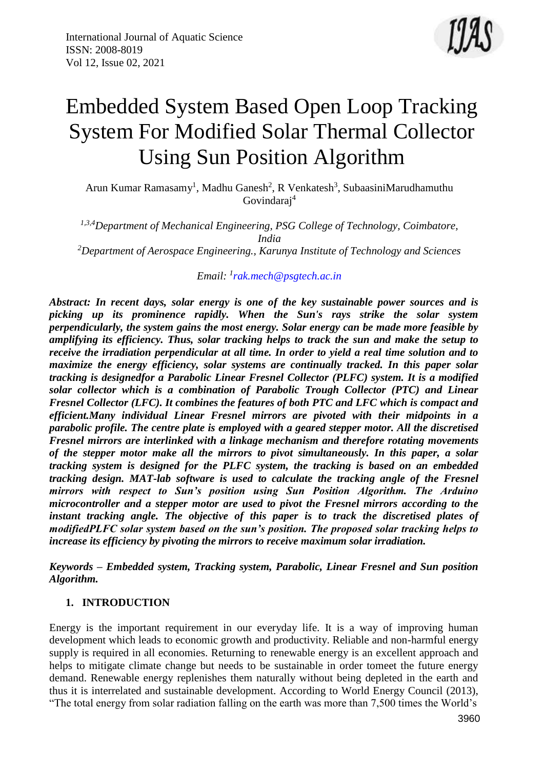

# Embedded System Based Open Loop Tracking System For Modified Solar Thermal Collector Using Sun Position Algorithm

Arun Kumar Ramasamy<sup>1</sup>, Madhu Ganesh<sup>2</sup>, R Venkatesh<sup>3</sup>, SubaasiniMarudhamuthu Govindaraj<sup>4</sup>

*1,3,4Department of Mechanical Engineering, PSG College of Technology, Coimbatore, India <sup>2</sup>Department of Aerospace Engineering., Karunya Institute of Technology and Sciences*

*Email: <sup>1</sup> [rak.mech@psgtech.ac.in](mailto:rak.mech@psgtech.ac.in)*

*Abstract: In recent days, solar energy is one of the key sustainable power sources and is picking up its prominence rapidly. When the Sun's rays strike the solar system perpendicularly, the system gains the most energy. Solar energy can be made more feasible by amplifying its efficiency. Thus, solar tracking helps to track the sun and make the setup to receive the irradiation perpendicular at all time. In order to yield a real time solution and to maximize the energy efficiency, solar systems are continually tracked. In this paper solar tracking is designedfor a Parabolic Linear Fresnel Collector (PLFC) system. It is a modified solar collector which is a combination of Parabolic Trough Collector (PTC) and Linear Fresnel Collector (LFC). It combines the features of both PTC and LFC which is compact and efficient.Many individual Linear Fresnel mirrors are pivoted with their midpoints in a parabolic profile. The centre plate is employed with a geared stepper motor. All the discretised Fresnel mirrors are interlinked with a linkage mechanism and therefore rotating movements of the stepper motor make all the mirrors to pivot simultaneously. In this paper, a solar tracking system is designed for the PLFC system, the tracking is based on an embedded tracking design. MAT-lab software is used to calculate the tracking angle of the Fresnel mirrors with respect to Sun's position using Sun Position Algorithm. The Arduino microcontroller and a stepper motor are used to pivot the Fresnel mirrors according to the*  instant tracking angle. The objective of this paper is to track the discretised plates of *modifiedPLFC solar system based on the sun's position. The proposed solar tracking helps to increase its efficiency by pivoting the mirrors to receive maximum solar irradiation.*

*Keywords – Embedded system, Tracking system, Parabolic, Linear Fresnel and Sun position Algorithm.*

# **1. INTRODUCTION**

Energy is the important requirement in our everyday life. It is a way of improving human development which leads to economic growth and productivity. Reliable and non-harmful energy supply is required in all economies. Returning to renewable energy is an excellent approach and helps to mitigate climate change but needs to be sustainable in order tomeet the future energy demand. Renewable energy replenishes them naturally without being depleted in the earth and thus it is interrelated and sustainable development. According to World Energy Council (2013), "The total energy from solar radiation falling on the earth was more than 7,500 times the World's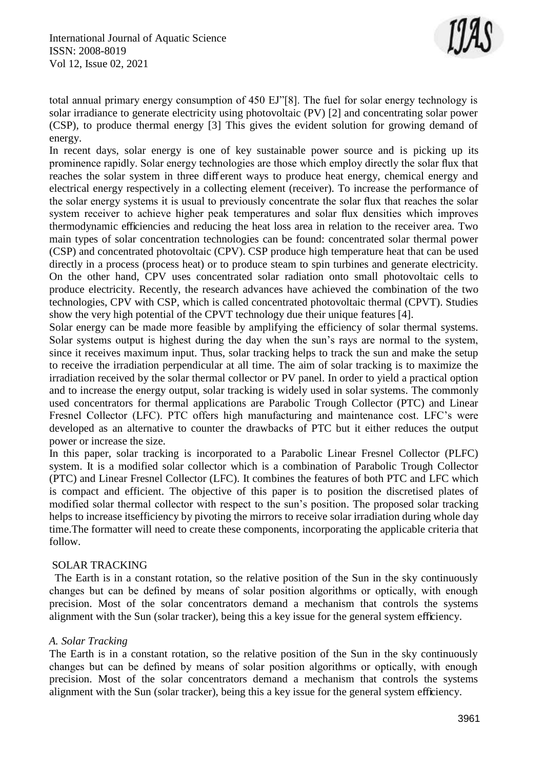

total annual primary energy consumption of 450 EJ"[8]. The fuel for solar energy technology is solar irradiance to generate electricity using photovoltaic (PV) [2] and concentrating solar power (CSP), to produce thermal energy [3] This gives the evident solution for growing demand of energy.

In recent days, solar energy is one of key sustainable power source and is picking up its prominence rapidly. Solar energy technologies are those which employ directly the solar flux that reaches the solar system in three different ways to produce heat energy, chemical energy and electrical energy respectively in a collecting element (receiver). To increase the performance of the solar energy systems it is usual to previously concentrate the solar flux that reaches the solar system receiver to achieve higher peak temperatures and solar flux densities which improves thermodynamic efficiencies and reducing the heat loss area in relation to the receiver area. Two main types of solar concentration technologies can be found: concentrated solar thermal power (CSP) and concentrated photovoltaic (CPV). CSP produce high temperature heat that can be used directly in a process (process heat) or to produce steam to spin turbines and generate electricity. On the other hand, CPV uses concentrated solar radiation onto small photovoltaic cells to produce electricity. Recently, the research advances have achieved the combination of the two technologies, CPV with CSP, which is called concentrated photovoltaic thermal (CPVT). Studies show the very high potential of the CPVT technology due their unique features [4].

Solar energy can be made more feasible by amplifying the efficiency of solar thermal systems. Solar systems output is highest during the day when the sun's rays are normal to the system, since it receives maximum input. Thus, solar tracking helps to track the sun and make the setup to receive the irradiation perpendicular at all time. The aim of solar tracking is to maximize the irradiation received by the solar thermal collector or PV panel. In order to yield a practical option and to increase the energy output, solar tracking is widely used in solar systems. The commonly used concentrators for thermal applications are Parabolic Trough Collector (PTC) and Linear Fresnel Collector (LFC). PTC offers high manufacturing and maintenance cost. LFC's were developed as an alternative to counter the drawbacks of PTC but it either reduces the output power or increase the size.

In this paper, solar tracking is incorporated to a Parabolic Linear Fresnel Collector (PLFC) system. It is a modified solar collector which is a combination of Parabolic Trough Collector (PTC) and Linear Fresnel Collector (LFC). It combines the features of both PTC and LFC which is compact and efficient. The objective of this paper is to position the discretised plates of modified solar thermal collector with respect to the sun's position. The proposed solar tracking helps to increase itsefficiency by pivoting the mirrors to receive solar irradiation during whole day time.The formatter will need to create these components, incorporating the applicable criteria that follow.

#### SOLAR TRACKING

The Earth is in a constant rotation, so the relative position of the Sun in the sky continuously changes but can be defined by means of solar position algorithms or optically, with enough precision. Most of the solar concentrators demand a mechanism that controls the systems alignment with the Sun (solar tracker), being this a key issue for the general system efficiency.

#### *A. Solar Tracking*

The Earth is in a constant rotation, so the relative position of the Sun in the sky continuously changes but can be defined by means of solar position algorithms or optically, with enough precision. Most of the solar concentrators demand a mechanism that controls the systems alignment with the Sun (solar tracker), being this a key issue for the general system efficiency.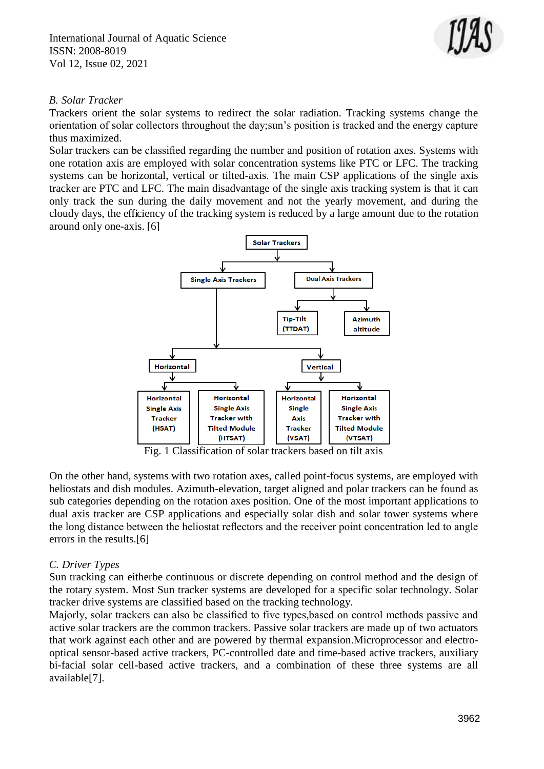

## *B. Solar Tracker*

Trackers orient the solar systems to redirect the solar radiation. Tracking systems change the orientation of solar collectors throughout the day;sun's position is tracked and the energy capture thus maximized.

Solar trackers can be classified regarding the number and position of rotation axes. Systems with one rotation axis are employed with solar concentration systems like PTC or LFC. The tracking systems can be horizontal, vertical or tilted-axis. The main CSP applications of the single axis tracker are PTC and LFC. The main disadvantage of the single axis tracking system is that it can only track the sun during the daily movement and not the yearly movement, and during the cloudy days, the efficiency of the tracking system is reduced by a large amount due to the rotation around only one-axis. [6]



Fig. 1 Classification of solar trackers based on tilt axis

On the other hand, systems with two rotation axes, called point-focus systems, are employed with heliostats and dish modules. Azimuth-elevation, target aligned and polar trackers can be found as sub categories depending on the rotation axes position. One of the most important applications to dual axis tracker are CSP applications and especially solar dish and solar tower systems where the long distance between the heliostat reflectors and the receiver point concentration led to angle errors in the results.[6]

#### *C. Driver Types*

Sun tracking can eitherbe continuous or discrete depending on control method and the design of the rotary system. Most Sun tracker systems are developed for a specific solar technology. Solar tracker drive systems are classified based on the tracking technology.

Majorly, solar trackers can also be classified to five types,based on control methods passive and active solar trackers are the common trackers. Passive solar trackers are made up of two actuators that work against each other and are powered by thermal expansion.Microprocessor and electrooptical sensor-based active trackers, PC-controlled date and time-based active trackers, auxiliary bi-facial solar cell-based active trackers, and a combination of these three systems are all available[7].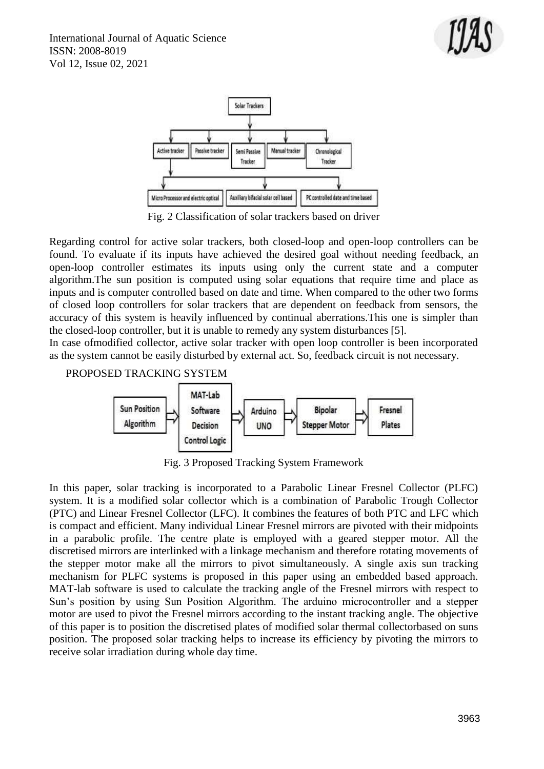



Fig. 2 Classification of solar trackers based on driver

Regarding control for active solar trackers, both closed-loop and open-loop controllers can be found. To evaluate if its inputs have achieved the desired goal without needing feedback, an open-loop controller estimates its inputs using only the current state and a computer algorithm.The sun position is computed using solar equations that require time and place as inputs and is computer controlled based on date and time. When compared to the other two forms of closed loop controllers for solar trackers that are dependent on feedback from sensors, the accuracy of this system is heavily influenced by continual aberrations.This one is simpler than the closed-loop controller, but it is unable to remedy any system disturbances [5].

In case ofmodified collector, active solar tracker with open loop controller is been incorporated as the system cannot be easily disturbed by external act. So, feedback circuit is not necessary.

PROPOSED TRACKING SYSTEM



Fig. 3 Proposed Tracking System Framework

In this paper, solar tracking is incorporated to a Parabolic Linear Fresnel Collector (PLFC) system. It is a modified solar collector which is a combination of Parabolic Trough Collector (PTC) and Linear Fresnel Collector (LFC). It combines the features of both PTC and LFC which is compact and efficient. Many individual Linear Fresnel mirrors are pivoted with their midpoints in a parabolic profile. The centre plate is employed with a geared stepper motor. All the discretised mirrors are interlinked with a linkage mechanism and therefore rotating movements of the stepper motor make all the mirrors to pivot simultaneously. A single axis sun tracking mechanism for PLFC systems is proposed in this paper using an embedded based approach. MAT-lab software is used to calculate the tracking angle of the Fresnel mirrors with respect to Sun's position by using Sun Position Algorithm. The arduino microcontroller and a stepper motor are used to pivot the Fresnel mirrors according to the instant tracking angle. The objective of this paper is to position the discretised plates of modified solar thermal collectorbased on suns position. The proposed solar tracking helps to increase its efficiency by pivoting the mirrors to receive solar irradiation during whole day time.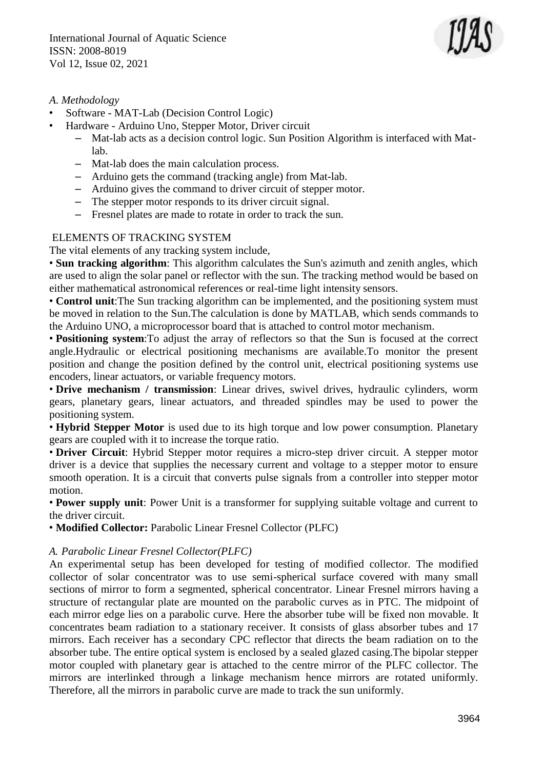

### *A. Methodology*

- Software MAT-Lab (Decision Control Logic)
	- Hardware Arduino Uno, Stepper Motor, Driver circuit
		- Mat-lab acts as a decision control logic. Sun Position Algorithm is interfaced with Matlab.
		- Mat-lab does the main calculation process.
		- Arduino gets the command (tracking angle) from Mat-lab.
		- Arduino gives the command to driver circuit of stepper motor.
		- The stepper motor responds to its driver circuit signal.
		- Fresnel plates are made to rotate in order to track the sun.

## ELEMENTS OF TRACKING SYSTEM

The vital elements of any tracking system include,

• **Sun tracking algorithm**: This algorithm calculates the Sun's azimuth and zenith angles, which are used to align the solar panel or reflector with the sun. The tracking method would be based on either mathematical astronomical references or real-time light intensity sensors.

• **Control unit**:The Sun tracking algorithm can be implemented, and the positioning system must be moved in relation to the Sun.The calculation is done by MATLAB, which sends commands to the Arduino UNO, a microprocessor board that is attached to control motor mechanism.

• **Positioning system**:To adjust the array of reflectors so that the Sun is focused at the correct angle.Hydraulic or electrical positioning mechanisms are available.To monitor the present position and change the position defined by the control unit, electrical positioning systems use encoders, linear actuators, or variable frequency motors.

• **Drive mechanism / transmission**: Linear drives, swivel drives, hydraulic cylinders, worm gears, planetary gears, linear actuators, and threaded spindles may be used to power the positioning system.

• **Hybrid Stepper Motor** is used due to its high torque and low power consumption. Planetary gears are coupled with it to increase the torque ratio.

• **Driver Circuit**: Hybrid Stepper motor requires a micro-step driver circuit. A stepper motor driver is a device that supplies the necessary current and voltage to a stepper motor to ensure smooth operation. It is a circuit that converts pulse signals from a controller into stepper motor motion.

• **Power supply unit**: Power Unit is a transformer for supplying suitable voltage and current to the driver circuit.

• **Modified Collector:** Parabolic Linear Fresnel Collector (PLFC)

#### *A. Parabolic Linear Fresnel Collector(PLFC)*

An experimental setup has been developed for testing of modified collector. The modified collector of solar concentrator was to use semi-spherical surface covered with many small sections of mirror to form a segmented, spherical concentrator. Linear Fresnel mirrors having a structure of rectangular plate are mounted on the parabolic curves as in PTC. The midpoint of each mirror edge lies on a parabolic curve. Here the absorber tube will be fixed non movable. It concentrates beam radiation to a stationary receiver. It consists of glass absorber tubes and 17 mirrors. Each receiver has a secondary CPC reflector that directs the beam radiation on to the absorber tube. The entire optical system is enclosed by a sealed glazed casing.The bipolar stepper motor coupled with planetary gear is attached to the centre mirror of the PLFC collector. The mirrors are interlinked through a linkage mechanism hence mirrors are rotated uniformly. Therefore, all the mirrors in parabolic curve are made to track the sun uniformly.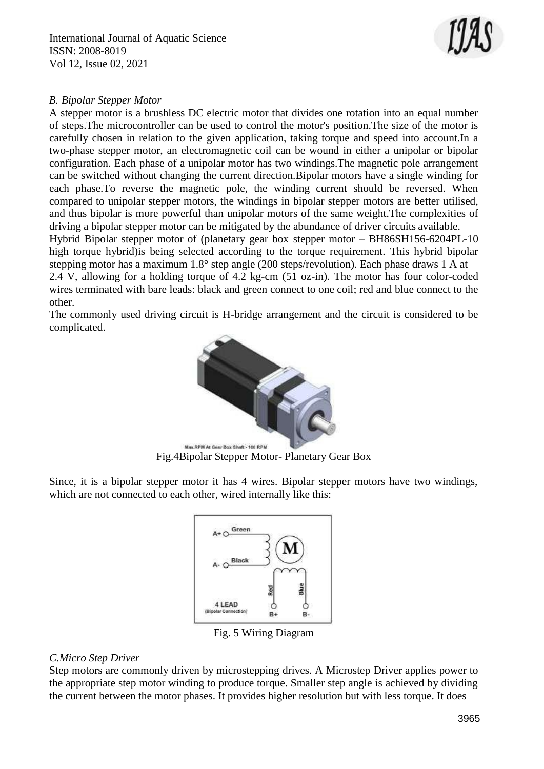

#### *B. Bipolar Stepper Motor*

A stepper motor is a brushless DC electric motor that divides one rotation into an equal number of steps.The microcontroller can be used to control the motor's position.The size of the motor is carefully chosen in relation to the given application, taking torque and speed into account.In a two-phase stepper motor, an electromagnetic coil can be wound in either a unipolar or bipolar configuration. Each phase of a unipolar motor has two windings.The magnetic pole arrangement can be switched without changing the current direction.Bipolar motors have a single winding for each phase.To reverse the magnetic pole, the winding current should be reversed. When compared to unipolar stepper motors, the windings in bipolar stepper motors are better utilised, and thus bipolar is more powerful than unipolar motors of the same weight.The complexities of driving a bipolar stepper motor can be mitigated by the abundance of driver circuits available. Hybrid Bipolar stepper motor of (planetary gear box stepper motor – BH86SH156-6204PL-10 high torque hybrid)is being selected according to the torque requirement. This hybrid bipolar stepping motor has a maximum 1.8° step angle (200 steps/revolution). Each phase draws 1 A at 2.4 V, allowing for a holding torque of 4.2 kg-cm (51 oz-in). The motor has four color-coded wires terminated with bare leads: black and green connect to one coil; red and blue connect to the other.

The commonly used driving circuit is H-bridge arrangement and the circuit is considered to be complicated.



Fig.4Bipolar Stepper Motor- Planetary Gear Box

Since, it is a bipolar stepper motor it has 4 wires. Bipolar stepper motors have two windings, which are not connected to each other, wired internally like this:



Fig. 5 Wiring Diagram

#### *C.Micro Step Driver*

Step motors are commonly driven by microstepping drives. A Microstep Driver applies power to the appropriate step motor winding to produce torque. Smaller step angle is achieved by dividing the current between the motor phases. It provides higher resolution but with less torque. It does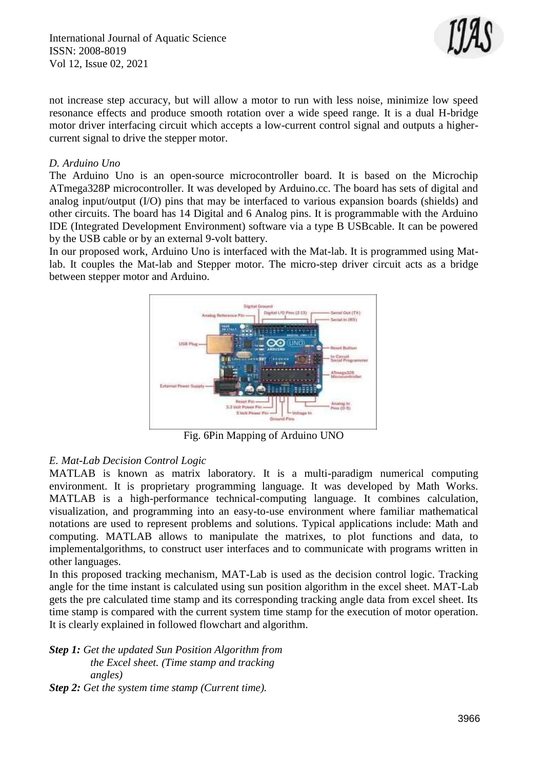

not increase step accuracy, but will allow a motor to run with less noise, minimize low speed resonance effects and produce smooth rotation over a wide speed range. It is a dual H-bridge motor driver interfacing circuit which accepts a low-current control signal and outputs a highercurrent signal to drive the stepper motor.

#### *D. Arduino Uno*

The Arduino Uno is an open-source microcontroller board. It is based on the Microchip ATmega328P microcontroller. It was developed by Arduino.cc. The board has sets of digital and analog input/output (I/O) pins that may be interfaced to various expansion boards (shields) and other circuits. The board has 14 Digital and 6 Analog pins. It is programmable with the Arduino IDE (Integrated Development Environment) software via a type B USBcable. It can be powered by the USB cable or by an external 9-volt battery.

In our proposed work, Arduino Uno is interfaced with the Mat-lab. It is programmed using Matlab. It couples the Mat-lab and Stepper motor. The micro-step driver circuit acts as a bridge between stepper motor and Arduino.



Fig. 6Pin Mapping of Arduino UNO

## *E. Mat-Lab Decision Control Logic*

MATLAB is known as matrix laboratory. It is a multi-paradigm numerical computing environment. It is proprietary programming language. It was developed by Math Works. MATLAB is a high-performance technical-computing language. It combines calculation, visualization, and programming into an easy-to-use environment where familiar mathematical notations are used to represent problems and solutions. Typical applications include: Math and computing. MATLAB allows to manipulate the matrixes, to plot functions and data, to implementalgorithms, to construct user interfaces and to communicate with programs written in other languages.

In this proposed tracking mechanism, MAT-Lab is used as the decision control logic. Tracking angle for the time instant is calculated using sun position algorithm in the excel sheet. MAT-Lab gets the pre calculated time stamp and its corresponding tracking angle data from excel sheet. Its time stamp is compared with the current system time stamp for the execution of motor operation. It is clearly explained in followed flowchart and algorithm.

# *Step 1: Get the updated Sun Position Algorithm from the Excel sheet. (Time stamp and tracking angles)*

*Step 2: Get the system time stamp (Current time).*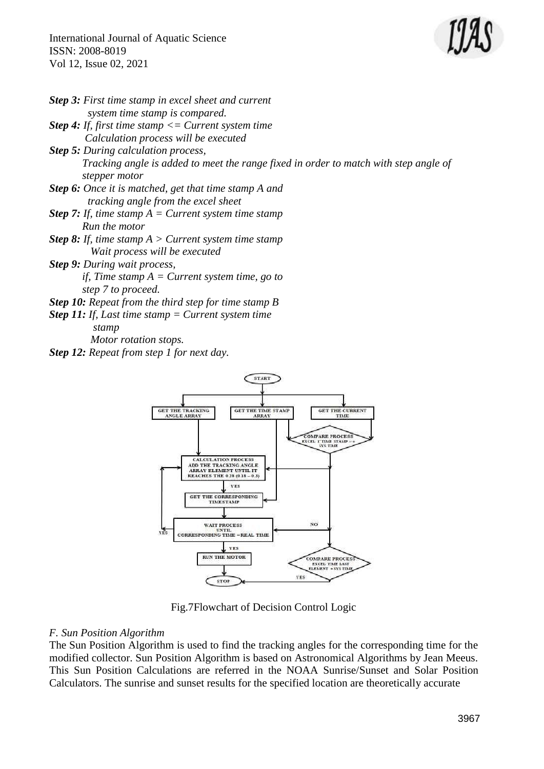

| <b>Step 3:</b> First time stamp in excel sheet and current           |                                                                                      |
|----------------------------------------------------------------------|--------------------------------------------------------------------------------------|
| system time stamp is compared.                                       |                                                                                      |
| <b>Step 4:</b> If, first time stamp $\leq$ Current system time       |                                                                                      |
| Calculation process will be executed                                 |                                                                                      |
| <b>Step 5:</b> During calculation process,                           |                                                                                      |
| stepper motor                                                        | Tracking angle is added to meet the range fixed in order to match with step angle of |
| <b>Step 6:</b> Once it is matched, get that time stamp A and         |                                                                                      |
| <i>tracking angle from the excel sheet</i>                           |                                                                                      |
| <b>Step 7:</b> If, time stamp $A = Current$ system time stamp        |                                                                                      |
| <b>Run</b> the motor                                                 |                                                                                      |
| <b>Step 8:</b> If, time stamp $A >$ Current system time stamp        |                                                                                      |
| Wait process will be executed                                        |                                                                                      |
| <b>Step 9:</b> During wait process,                                  |                                                                                      |
| if, Time stamp $A = Current$ system time, go to                      |                                                                                      |
| step 7 to proceed.                                                   |                                                                                      |
| <b>Step 10:</b> Repeat from the third step for time stamp B          |                                                                                      |
| <b>Step 11:</b> If, Last time stamp $=$ Current system time<br>stamp |                                                                                      |
| Motor rotation stops.                                                |                                                                                      |
| <b>Step 12:</b> Repeat from step 1 for next day.                     |                                                                                      |



Fig.7Flowchart of Decision Control Logic

# *F. Sun Position Algorithm*

The Sun Position Algorithm is used to find the tracking angles for the corresponding time for the modified collector. Sun Position Algorithm is based on Astronomical Algorithms by Jean Meeus. This Sun Position Calculations are referred in the NOAA Sunrise/Sunset and Solar Position Calculators. The sunrise and sunset results for the specified location are theoretically accurate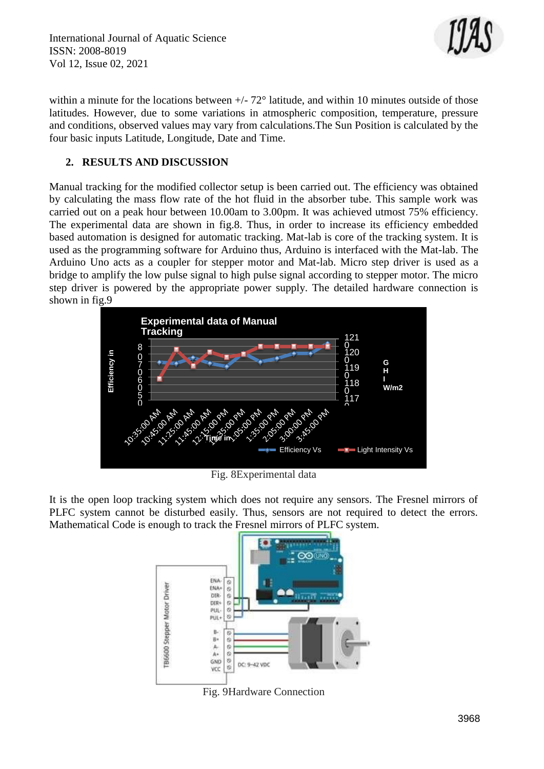

within a minute for the locations between  $+/- 72^{\circ}$  latitude, and within 10 minutes outside of those latitudes. However, due to some variations in atmospheric composition, temperature, pressure and conditions, observed values may vary from calculations.The Sun Position is calculated by the four basic inputs Latitude, Longitude, Date and Time.

# **2. RESULTS AND DISCUSSION**

Manual tracking for the modified collector setup is been carried out. The efficiency was obtained by calculating the mass flow rate of the hot fluid in the absorber tube. This sample work was carried out on a peak hour between 10.00am to 3.00pm. It was achieved utmost 75% efficiency. The experimental data are shown in fig.8. Thus, in order to increase its efficiency embedded based automation is designed for automatic tracking. Mat-lab is core of the tracking system. It is used as the programming software for Arduino thus, Arduino is interfaced with the Mat-lab. The Arduino Uno acts as a coupler for stepper motor and Mat-lab. Micro step driver is used as a bridge to amplify the low pulse signal to high pulse signal according to stepper motor. The micro step driver is powered by the appropriate power supply. The detailed hardware connection is shown in fig.9



Fig. 8Experimental data

It is the open loop tracking system which does not require any sensors. The Fresnel mirrors of PLFC system cannot be disturbed easily. Thus, sensors are not required to detect the errors. Mathematical Code is enough to track the Fresnel mirrors of PLFC system.



Fig. 9Hardware Connection